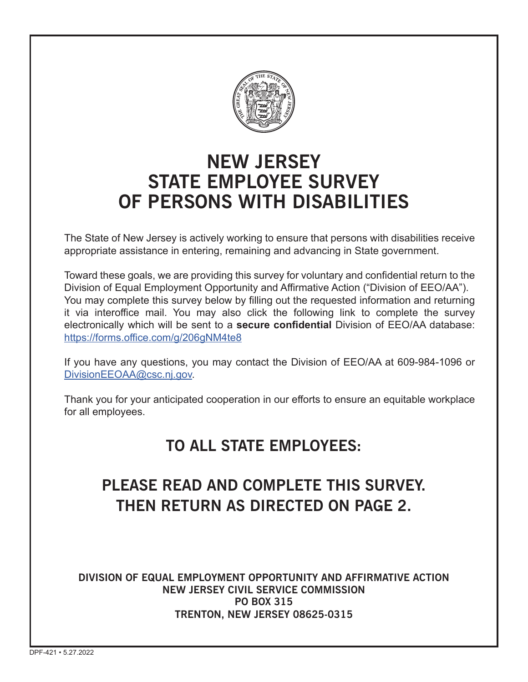

# **NEW JERSEY STATE EMPLOYEE SURVEY OF PERSONS WITH DISABILITIES**

The State of New Jersey is actively working to ensure that persons with disabilities receive appropriate assistance in entering, remaining and advancing in State government.

Toward these goals, we are providing this survey for voluntary and confidential return to the Division of Equal Employment Opportunity and Affirmative Action ("Division of EEO/AA"). You may complete this survey below by filling out the requested information and returning it via interoffice mail. You may also click the following link to complete the survey electronically which will be sent to a **secure confidential** Division of EEO/AA database: https://forms.office.com/g/206gNM4te8

If you have any questions, you may contact the Division of EEO/AA at 609-984-1096 or DivisionEEOAA@csc.nj.gov.

Thank you for your anticipated cooperation in our efforts to ensure an equitable workplace for all employees.

## **TO ALL STATE EMPLOYEES:**

## **PLEASE READ AND COMPLETE THIS SURVEY. THEN RETURN AS DIRECTED ON PAGE 2.**

**DIVISION OF EQUAL EMPLOYMENT OPPORTUNITY AND AFFIRMATIVE ACTION NEW JERSEY CIVIL SERVICE COMMISSION PO BOX 315 TRENTON, NEW JERSEY 08625-0315**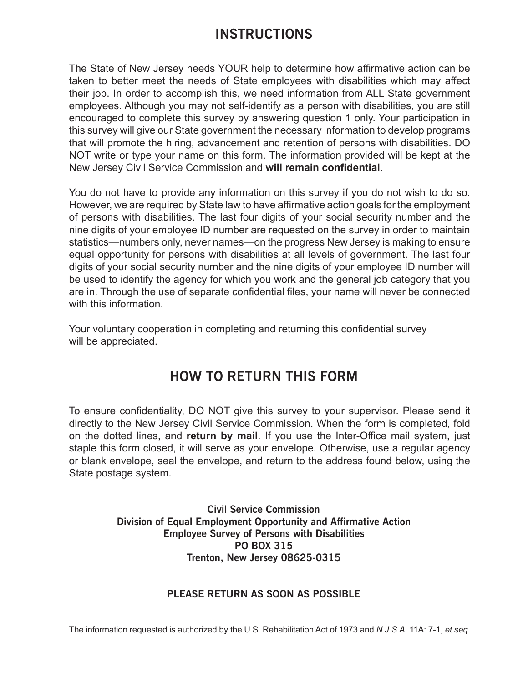### **INSTRUCTIONS**

The State of New Jersey needs YOUR help to determine how affirmative action can be taken to better meet the needs of State employees with disabilities which may affect their job. In order to accomplish this, we need information from ALL State government employees. Although you may not self-identify as a person with disabilities, you are still encouraged to complete this survey by answering question 1 only. Your participation in this survey will give our State government the necessary information to develop programs that will promote the hiring, advancement and retention of persons with disabilities. DO NOT write or type your name on this form. The information provided will be kept at the New Jersey Civil Service Commission and **will remain confidential**.

You do not have to provide any information on this survey if you do not wish to do so. However, we are required by State law to have affirmative action goals for the employment of persons with disabilities. The last four digits of your social security number and the nine digits of your employee ID number are requested on the survey in order to maintain statistics—numbers only, never names—on the progress New Jersey is making to ensure equal opportunity for persons with disabilities at all levels of government. The last four digits of your social security number and the nine digits of your employee ID number will be used to identify the agency for which you work and the general job category that you are in. Through the use of separate confidential files, your name will never be connected with this information.

Your voluntary cooperation in completing and returning this confidential survey will be appreciated.

### **HOW TO RETURN THIS FORM**

To ensure confidentiality, DO NOT give this survey to your supervisor. Please send it directly to the New Jersey Civil Service Commission. When the form is completed, fold on the dotted lines, and **return by mail**. If you use the Inter-Office mail system, just staple this form closed, it will serve as your envelope. Otherwise, use a regular agency or blank envelope, seal the envelope, and return to the address found below, using the State postage system.

> **Civil Service Commission Division of Equal Employment Opportunity and Affirmative Action Employee Survey of Persons with Disabilities PO BOX 315 Trenton, New Jersey 08625-0315**

#### **PLEASE RETURN AS SOON AS POSSIBLE**

The information requested is authorized by the U.S. Rehabilitation Act of 1973 and *N.J.S.A.* 11A: 7-1, *et seq.*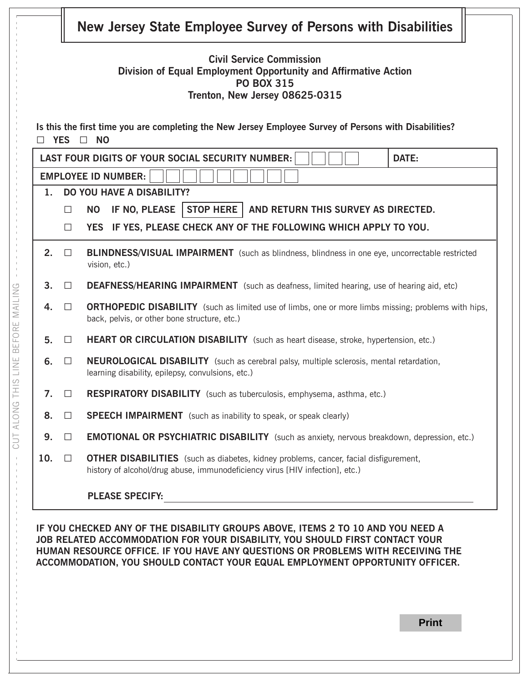|                |        | <b>Civil Service Commission</b><br>Division of Equal Employment Opportunity and Affirmative Action<br><b>PO BOX 315</b><br>Trenton, New Jersey 08625-0315                   |
|----------------|--------|-----------------------------------------------------------------------------------------------------------------------------------------------------------------------------|
|                | YES O  | Is this the first time you are completing the New Jersey Employee Survey of Persons with Disabilities?<br><b>NO</b>                                                         |
|                |        | <b>LAST FOUR DIGITS OF YOUR SOCIAL SECURITY NUMBER:</b><br>DATE:                                                                                                            |
|                |        | <b>EMPLOYEE ID NUMBER:</b>                                                                                                                                                  |
| $1_{-}$        |        | <b>DO YOU HAVE A DISABILITY?</b>                                                                                                                                            |
|                | $\Box$ | STOP HERE   AND RETURN THIS SURVEY AS DIRECTED.<br>IF NO, PLEASE<br><b>NO</b>                                                                                               |
|                | $\Box$ | YES IF YES, PLEASE CHECK ANY OF THE FOLLOWING WHICH APPLY TO YOU.                                                                                                           |
| 2.             | $\Box$ | <b>BLINDNESS/VISUAL IMPAIRMENT</b> (such as blindness, blindness in one eye, uncorrectable restricted<br>vision, etc.)                                                      |
| 3 <sub>1</sub> | $\Box$ | <b>DEAFNESS/HEARING IMPAIRMENT</b> (such as deafness, limited hearing, use of hearing aid, etc)                                                                             |
| 4.             | $\Box$ | <b>ORTHOPEDIC DISABILITY</b> (such as limited use of limbs, one or more limbs missing; problems with hips,<br>back, pelvis, or other bone structure, etc.)                  |
| 5.             | $\Box$ | HEART OR CIRCULATION DISABILITY (such as heart disease, stroke, hypertension, etc.)                                                                                         |
| 6.             | $\Box$ | <b>NEUROLOGICAL DISABILITY</b> (such as cerebral palsy, multiple sclerosis, mental retardation,<br>learning disability, epilepsy, convulsions, etc.)                        |
| 7.             | $\Box$ | RESPIRATORY DISABILITY (such as tuberculosis, emphysema, asthma, etc.)                                                                                                      |
| 8.             | $\Box$ | <b>SPEECH IMPAIRMENT</b> (such as inability to speak, or speak clearly)                                                                                                     |
| 9.             | $\Box$ | <b>EMOTIONAL OR PSYCHIATRIC DISABILITY</b> (such as anxiety, nervous breakdown, depression, etc.)                                                                           |
| 10.            | $\Box$ | <b>OTHER DISABILITIES</b> (such as diabetes, kidney problems, cancer, facial disfigurement,<br>history of alcohol/drug abuse, immunodeficiency virus [HIV infection], etc.) |
|                |        |                                                                                                                                                                             |

- - - - - - - - - - - - - - - - - - - - - - - - - - - - - - - - - - CUT ALONG THIS LINE BEFORE MAILING - - - - - - - - - - - - - - - - - - - - - - - - - - - - - - - - - - - - - - - - - - - -

CUT ALONG THIS LINE BEFORE MAILING

**IF YOU CHECKED ANY OF THE DISABILITY GROUPS ABOVE, ITEMS 2 TO 10 AND YOU NEED A JOB RELATED ACCOMMODATION FOR YOUR DISABILITY, YOU SHOULD FIRST CONTACT YOUR HUMAN RESOURCE OFFICE. IF YOU HAVE ANY QUESTIONS OR PROBLEMS WITH RECEIVING THE ACCOMMODATION, YOU SHOULD CONTACT YOUR EQUAL EMPLOYMENT OPPORTUNITY OFFICER.**